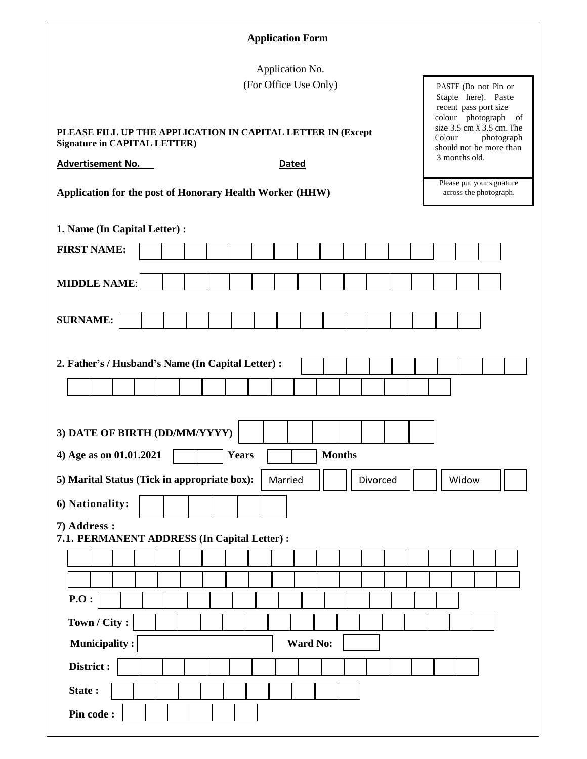| <b>Application Form</b>                                                                                                                        |                                                                                                                                                                                   |  |  |  |  |
|------------------------------------------------------------------------------------------------------------------------------------------------|-----------------------------------------------------------------------------------------------------------------------------------------------------------------------------------|--|--|--|--|
| Application No.<br>(For Office Use Only)<br>PLEASE FILL UP THE APPLICATION IN CAPITAL LETTER IN (Except<br><b>Signature in CAPITAL LETTER)</b> | PASTE (Do not Pin or<br>Staple here). Paste<br>recent pass port size<br>colour photograph<br>- of<br>size 3.5 cm X 3.5 cm. The<br>Colour<br>photograph<br>should not be more than |  |  |  |  |
| <b>Advertisement No.</b><br><b>Dated</b>                                                                                                       | 3 months old.                                                                                                                                                                     |  |  |  |  |
| Application for the post of Honorary Health Worker (HHW)                                                                                       | Please put your signature<br>across the photograph.                                                                                                                               |  |  |  |  |
| 1. Name (In Capital Letter) :                                                                                                                  |                                                                                                                                                                                   |  |  |  |  |
| <b>FIRST NAME:</b>                                                                                                                             |                                                                                                                                                                                   |  |  |  |  |
| <b>MIDDLE NAME:</b>                                                                                                                            |                                                                                                                                                                                   |  |  |  |  |
| <b>SURNAME:</b>                                                                                                                                |                                                                                                                                                                                   |  |  |  |  |
| 2. Father's / Husband's Name (In Capital Letter) :                                                                                             |                                                                                                                                                                                   |  |  |  |  |
| 3) DATE OF BIRTH (DD/MM/YYYY)                                                                                                                  |                                                                                                                                                                                   |  |  |  |  |
| 4) Age as on 01.01.2021<br><b>Months</b><br><b>Years</b>                                                                                       |                                                                                                                                                                                   |  |  |  |  |
| 5) Marital Status (Tick in appropriate box):<br>Divorced<br>Married                                                                            | Widow                                                                                                                                                                             |  |  |  |  |
| 6) Nationality:                                                                                                                                |                                                                                                                                                                                   |  |  |  |  |
| 7) Address :<br>7.1. PERMANENT ADDRESS (In Capital Letter) :                                                                                   |                                                                                                                                                                                   |  |  |  |  |
|                                                                                                                                                |                                                                                                                                                                                   |  |  |  |  |
|                                                                                                                                                |                                                                                                                                                                                   |  |  |  |  |
| P.O:                                                                                                                                           |                                                                                                                                                                                   |  |  |  |  |
| Town / City:                                                                                                                                   |                                                                                                                                                                                   |  |  |  |  |
| <b>Municipality:</b><br><b>Ward No:</b>                                                                                                        |                                                                                                                                                                                   |  |  |  |  |
| District:                                                                                                                                      |                                                                                                                                                                                   |  |  |  |  |
| State:                                                                                                                                         |                                                                                                                                                                                   |  |  |  |  |
| Pin code:                                                                                                                                      |                                                                                                                                                                                   |  |  |  |  |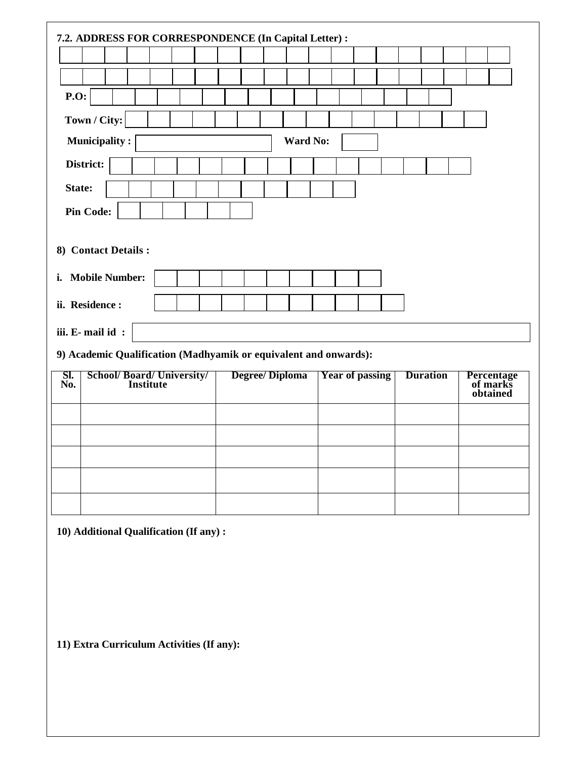| 7.2. ADDRESS FOR CORRESPONDENCE (In Capital Letter) :            |                       |                        |                 |                                    |  |  |
|------------------------------------------------------------------|-----------------------|------------------------|-----------------|------------------------------------|--|--|
|                                                                  |                       |                        |                 |                                    |  |  |
| <b>P.O:</b>                                                      |                       |                        |                 |                                    |  |  |
| Town / City:                                                     |                       |                        |                 |                                    |  |  |
| <b>Municipality:</b>                                             | <b>Ward No:</b>       |                        |                 |                                    |  |  |
| District:                                                        |                       |                        |                 |                                    |  |  |
| State:                                                           |                       |                        |                 |                                    |  |  |
| <b>Pin Code:</b>                                                 |                       |                        |                 |                                    |  |  |
|                                                                  |                       |                        |                 |                                    |  |  |
| 8) Contact Details :                                             |                       |                        |                 |                                    |  |  |
| <b>Mobile Number:</b><br>i.                                      |                       |                        |                 |                                    |  |  |
| ii. Residence :                                                  |                       |                        |                 |                                    |  |  |
| iii. E-mail id:                                                  |                       |                        |                 |                                    |  |  |
| 9) Academic Qualification (Madhyamik or equivalent and onwards): |                       |                        |                 |                                    |  |  |
|                                                                  |                       |                        |                 |                                    |  |  |
| SI.<br><b>School/Board/University/</b><br>Institute<br>No.       | <b>Degree/Diploma</b> | <b>Year of passing</b> | <b>Duration</b> | Percentage<br>of marks<br>obtained |  |  |
|                                                                  |                       |                        |                 |                                    |  |  |
|                                                                  |                       |                        |                 |                                    |  |  |
|                                                                  |                       |                        |                 |                                    |  |  |
|                                                                  |                       |                        |                 |                                    |  |  |
|                                                                  |                       |                        |                 |                                    |  |  |
|                                                                  |                       |                        |                 |                                    |  |  |
| 10) Additional Qualification (If any):                           |                       |                        |                 |                                    |  |  |
|                                                                  |                       |                        |                 |                                    |  |  |
|                                                                  |                       |                        |                 |                                    |  |  |
|                                                                  |                       |                        |                 |                                    |  |  |
|                                                                  |                       |                        |                 |                                    |  |  |
| 11) Extra Curriculum Activities (If any):                        |                       |                        |                 |                                    |  |  |
|                                                                  |                       |                        |                 |                                    |  |  |